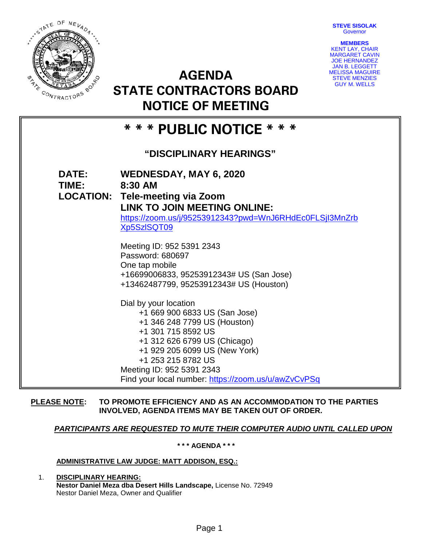**STEVE SISOLAK Governor** 



**AGENDA STATE CONTRACTORS BOARD NOTICE OF MEETING**



# **\* \* \* PUBLIC NOTICE \* \* \***

## **"DISCIPLINARY HEARINGS"**

**DATE: WEDNESDAY, MAY 6, 2020 TIME: 8:30 AM LOCATION: Tele-meeting via Zoom LINK TO JOIN MEETING ONLINE:**  [https://zoom.us/j/95253912343?pwd=WnJ6RHdEc0FLSjI3MnZrb](https://zoom.us/j/95253912343?pwd=WnJ6RHdEc0FLSjI3MnZrbXp5SzlSQT09) [Xp5SzlSQT09](https://zoom.us/j/95253912343?pwd=WnJ6RHdEc0FLSjI3MnZrbXp5SzlSQT09) Meeting ID: 952 5391 2343 Password: 680697 One tap mobile +16699006833, 95253912343# US (San Jose) +13462487799, 95253912343# US (Houston) Dial by your location +1 669 900 6833 US (San Jose) +1 346 248 7799 US (Houston) +1 301 715 8592 US +1 312 626 6799 US (Chicago) +1 929 205 6099 US (New York) +1 253 215 8782 US Meeting ID: 952 5391 2343 Find your local number:<https://zoom.us/u/awZvCvPSq>

## **PLEASE NOTE: TO PROMOTE EFFICIENCY AND AS AN ACCOMMODATION TO THE PARTIES INVOLVED, AGENDA ITEMS MAY BE TAKEN OUT OF ORDER.**

## *PARTICIPANTS ARE REQUESTED TO MUTE THEIR COMPUTER AUDIO UNTIL CALLED UPON*

**\* \* \* AGENDA \* \* \***

## **ADMINISTRATIVE LAW JUDGE: MATT ADDISON, ESQ.:**

1. **DISCIPLINARY HEARING: Nestor Daniel Meza dba Desert Hills Landscape,** License No. 72949 Nestor Daniel Meza, Owner and Qualifier